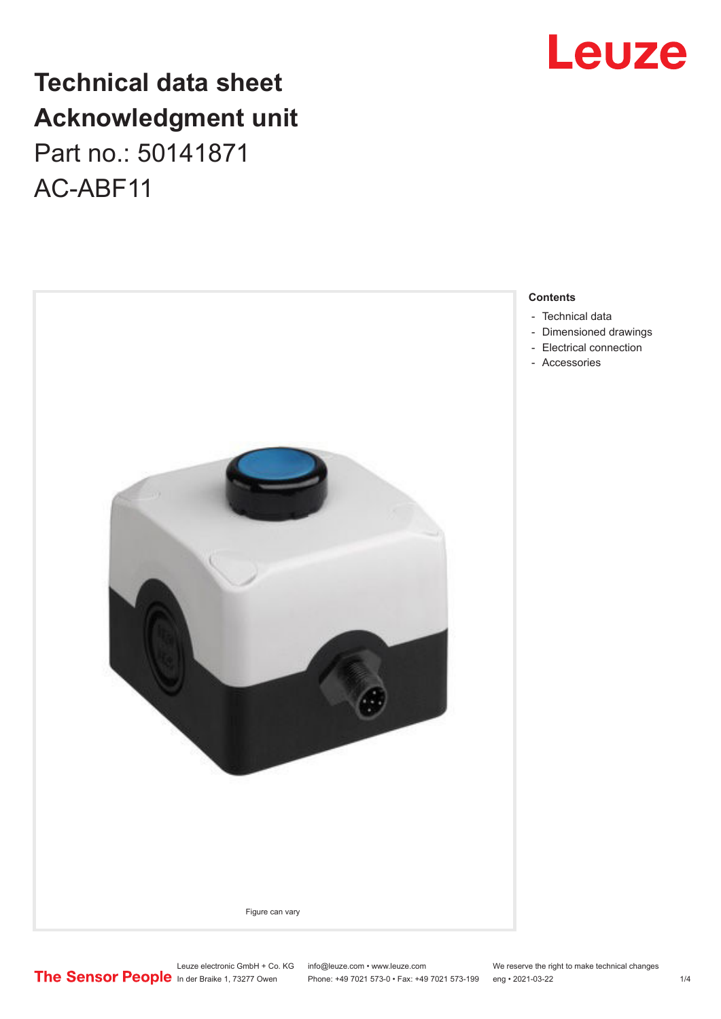## **Technical data sheet Acknowledgment unit** Part no.: 50141871 AC-ABF11



## Leuze

#### **Contents**

- [Technical data](#page-1-0)
- [Dimensioned drawings](#page-2-0)
- [Electrical connection](#page-2-0)
- [Accessories](#page-3-0)

Leuze electronic GmbH + Co. KG info@leuze.com • www.leuze.com We reserve the right to make technical changes<br>
The Sensor People in der Braike 1, 73277 Owen Phone: +49 7021 573-0 • Fax: +49 7021 573-199 eng • 2021-03-22

Phone: +49 7021 573-0 • Fax: +49 7021 573-199 eng • 2021-03-22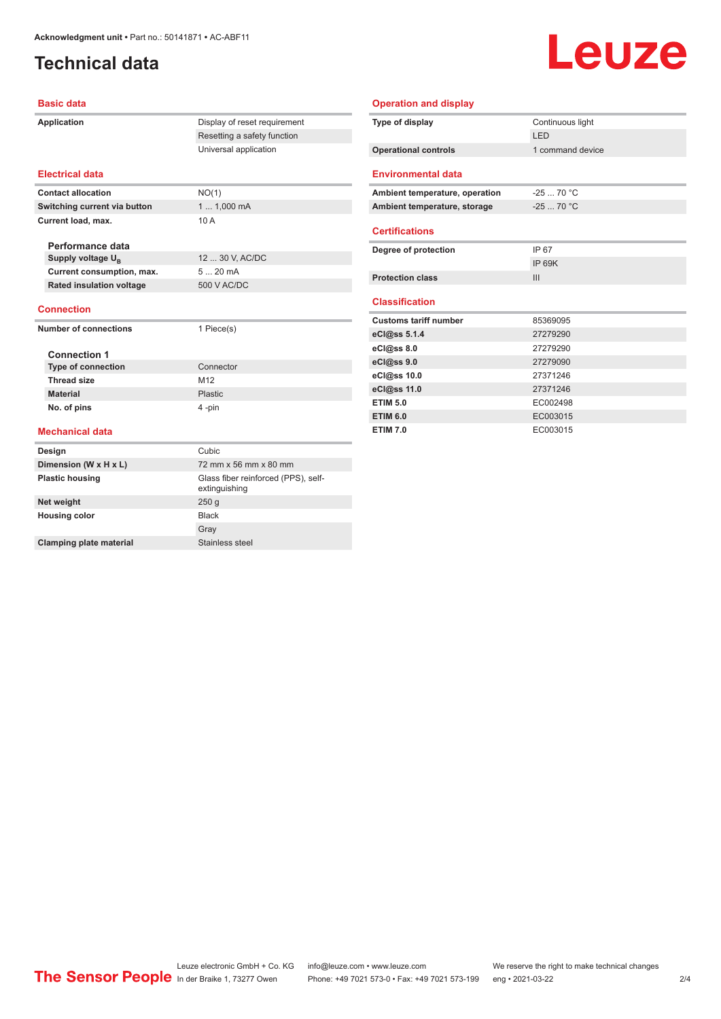### <span id="page-1-0"></span>**Technical data**

# Leuze

#### **Basic data**

| Application                     | Display of reset requirement                         |  |
|---------------------------------|------------------------------------------------------|--|
|                                 | Resetting a safety function                          |  |
|                                 | Universal application                                |  |
| <b>Electrical data</b>          |                                                      |  |
| <b>Contact allocation</b>       | NO(1)                                                |  |
| Switching current via button    | 1  1,000 mA                                          |  |
| Current load, max.              | 10A                                                  |  |
| Performance data                |                                                      |  |
| Supply voltage U <sub>p</sub>   | 12  30 V, AC/DC                                      |  |
| Current consumption, max.       | 520mA                                                |  |
| <b>Rated insulation voltage</b> | 500 V AC/DC                                          |  |
| <b>Connection</b>               |                                                      |  |
| <b>Number of connections</b>    | 1 Piece(s)                                           |  |
| <b>Connection 1</b>             |                                                      |  |
| <b>Type of connection</b>       | Connector                                            |  |
| <b>Thread size</b>              | M12                                                  |  |
| <b>Material</b>                 | Plastic                                              |  |
| No. of pins                     | 4-pin                                                |  |
| <b>Mechanical data</b>          |                                                      |  |
| Design                          | Cubic                                                |  |
| Dimension (W x H x L)           | 72 mm x 56 mm x 80 mm                                |  |
| <b>Plastic housing</b>          | Glass fiber reinforced (PPS), self-<br>extinguishing |  |
| Net weight                      | 250 <sub>g</sub>                                     |  |
| <b>Housing color</b>            | <b>Black</b>                                         |  |
|                                 | Gray                                                 |  |

**Clamping plate material** Stainless steel

#### **Operation and display**

| Type of display                | Continuous light |
|--------------------------------|------------------|
|                                | I FD             |
| <b>Operational controls</b>    | 1 command device |
|                                |                  |
| <b>Environmental data</b>      |                  |
| Ambient temperature, operation | $-2570 °C$       |
| Ambient temperature, storage   | $-2570 °C$       |
|                                |                  |
| <b>Certifications</b>          |                  |
| Degree of protection           | IP 67            |
|                                | <b>IP 69K</b>    |
| <b>Protection class</b>        | III              |
|                                |                  |
| <b>Classification</b>          |                  |
| <b>Customs tariff number</b>   | 85369095         |
| eCl@ss 5.1.4                   | 27279290         |
| eCl@ss 8.0                     | 27279290         |
| eCl@ss 9.0                     | 27279090         |
| eCl@ss 10.0                    | 27371246         |
| eCl@ss 11.0                    | 27371246         |
| <b>ETIM 5.0</b>                | EC002498         |
| <b>ETIM 6.0</b>                | EC003015         |
| <b>ETIM 7.0</b>                | EC003015         |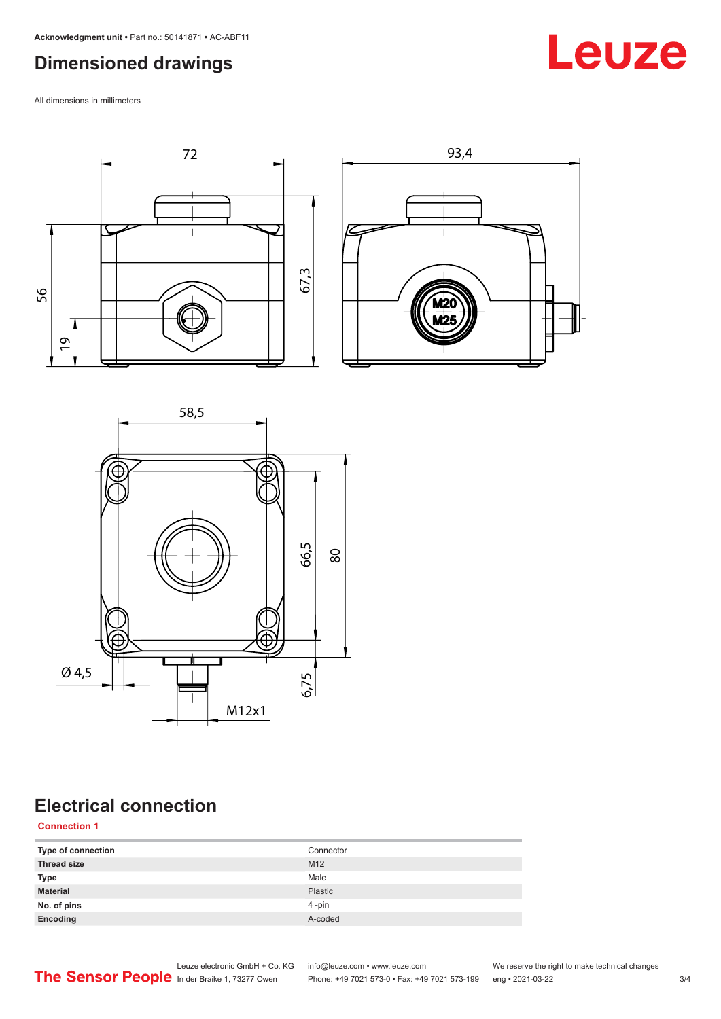### <span id="page-2-0"></span>**Dimensioned drawings**

All dimensions in millimeters





## **Electrical connection**

#### **Connection 1**

| Type of connection | Connector |
|--------------------|-----------|
| <b>Thread size</b> | M12       |
| Type               | Male      |
| <b>Material</b>    | Plastic   |
| No. of pins        | 4-pin     |
| Encoding           | A-coded   |



Leuze electronic GmbH + Co. KG info@leuze.com • www.leuze.com We reserve the right to make technical changes In der Braike 1, 73277 Owen Phone: +49 7021 573-0 • Fax: +49 7021 573-199 eng • 2021-03-22